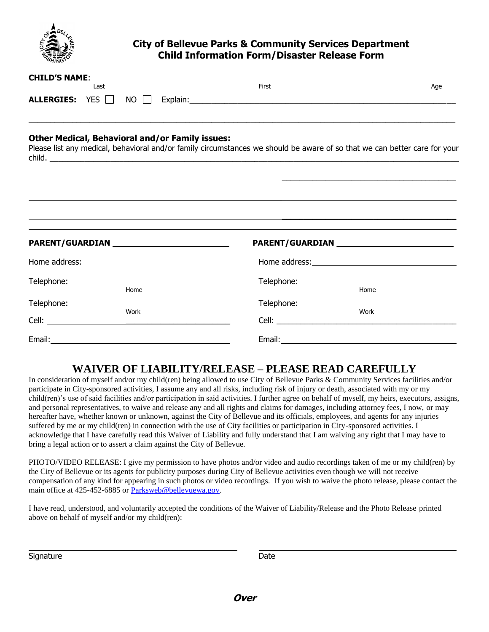

# **City of Bellevue Parks & Community Services Department Child Information Form/Disaster Release Form**

| <b>CHILD'S NAME:</b><br>Last                                                                                                                                                        | First                                                                                                                                                                                                                          | Age          |
|-------------------------------------------------------------------------------------------------------------------------------------------------------------------------------------|--------------------------------------------------------------------------------------------------------------------------------------------------------------------------------------------------------------------------------|--------------|
| ALLERGIES: YES NO                                                                                                                                                                   |                                                                                                                                                                                                                                |              |
| <b>Other Medical, Behavioral and/or Family issues:</b><br>Please list any medical, behavioral and/or family circumstances we should be aware of so that we can better care for your |                                                                                                                                                                                                                                |              |
| PARENT/GUARDIAN ______________________________                                                                                                                                      | PARENT/GUARDIAN NAMEL AND RESERVE TO A RESERVE THE RESERVE TO A RESERVE THE RESERVE THAT A REPORT OF THE RESERVE THAT A REPORT OF THE RESERVE THAT A REPORT OF THE RESERVE THAT A REPORT OF THE REPORT OF THE REPORT OF THE RE |              |
|                                                                                                                                                                                     |                                                                                                                                                                                                                                |              |
| Home<br>Work                                                                                                                                                                        |                                                                                                                                                                                                                                | Home<br>Work |
|                                                                                                                                                                                     |                                                                                                                                                                                                                                |              |

# **WAIVER OF LIABILITY/RELEASE – PLEASE READ CAREFULLY**

In consideration of myself and/or my child(ren) being allowed to use City of Bellevue Parks & Community Services facilities and/or participate in City-sponsored activities, I assume any and all risks, including risk of injury or death, associated with my or my child(ren)'s use of said facilities and/or participation in said activities. I further agree on behalf of myself, my heirs, executors, assigns, and personal representatives, to waive and release any and all rights and claims for damages, including attorney fees, I now, or may hereafter have, whether known or unknown, against the City of Bellevue and its officials, employees, and agents for any injuries suffered by me or my child(ren) in connection with the use of City facilities or participation in City-sponsored activities. I acknowledge that I have carefully read this Waiver of Liability and fully understand that I am waiving any right that I may have to bring a legal action or to assert a claim against the City of Bellevue.

PHOTO/VIDEO RELEASE: I give my permission to have photos and/or video and audio recordings taken of me or my child(ren) by the City of Bellevue or its agents for publicity purposes during City of Bellevue activities even though we will not receive compensation of any kind for appearing in such photos or video recordings. If you wish to waive the photo release, please contact the main office at 425-452-6885 or [Parksweb@bellevuewa.gov.](mailto:Parksweb@bellevuewa.gov)

I have read, understood, and voluntarily accepted the conditions of the Waiver of Liability/Release and the Photo Release printed above on behalf of myself and/or my child(ren):